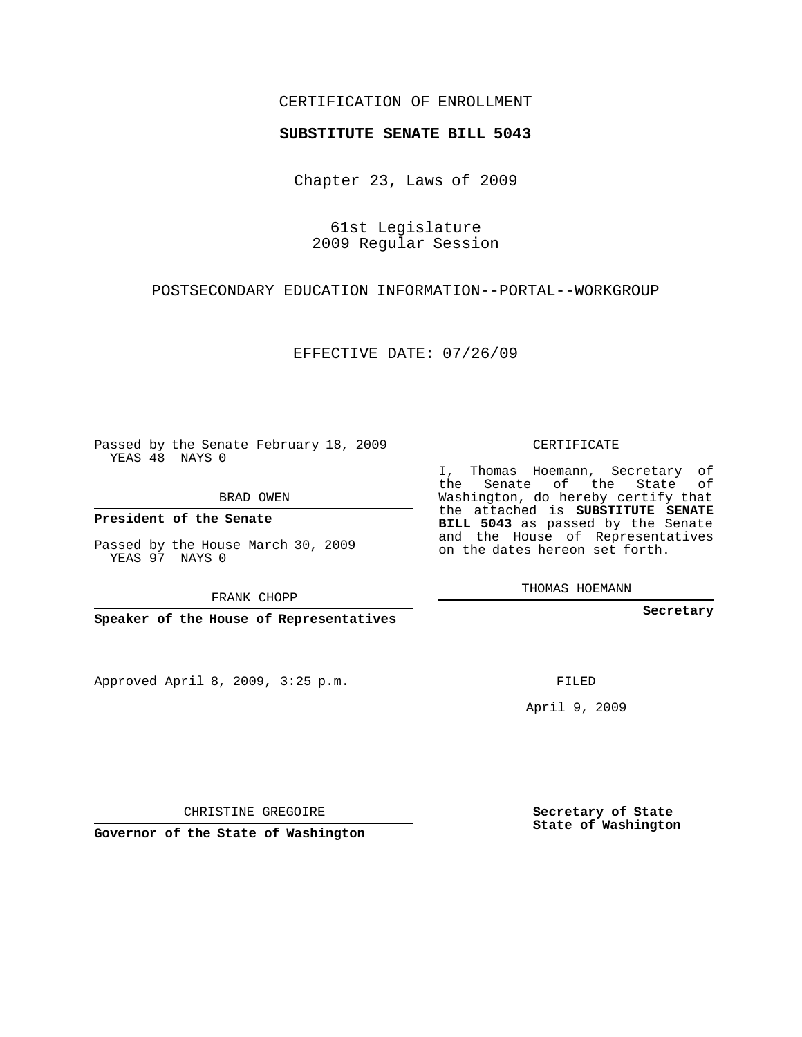## CERTIFICATION OF ENROLLMENT

## **SUBSTITUTE SENATE BILL 5043**

Chapter 23, Laws of 2009

61st Legislature 2009 Regular Session

POSTSECONDARY EDUCATION INFORMATION--PORTAL--WORKGROUP

EFFECTIVE DATE: 07/26/09

Passed by the Senate February 18, 2009 YEAS 48 NAYS 0

BRAD OWEN

**President of the Senate**

Passed by the House March 30, 2009 YEAS 97 NAYS 0

FRANK CHOPP

**Speaker of the House of Representatives**

Approved April 8, 2009, 3:25 p.m.

CERTIFICATE

I, Thomas Hoemann, Secretary of the Senate of the State of Washington, do hereby certify that the attached is **SUBSTITUTE SENATE BILL 5043** as passed by the Senate and the House of Representatives on the dates hereon set forth.

THOMAS HOEMANN

**Secretary**

FILED

April 9, 2009

**Secretary of State State of Washington**

CHRISTINE GREGOIRE

**Governor of the State of Washington**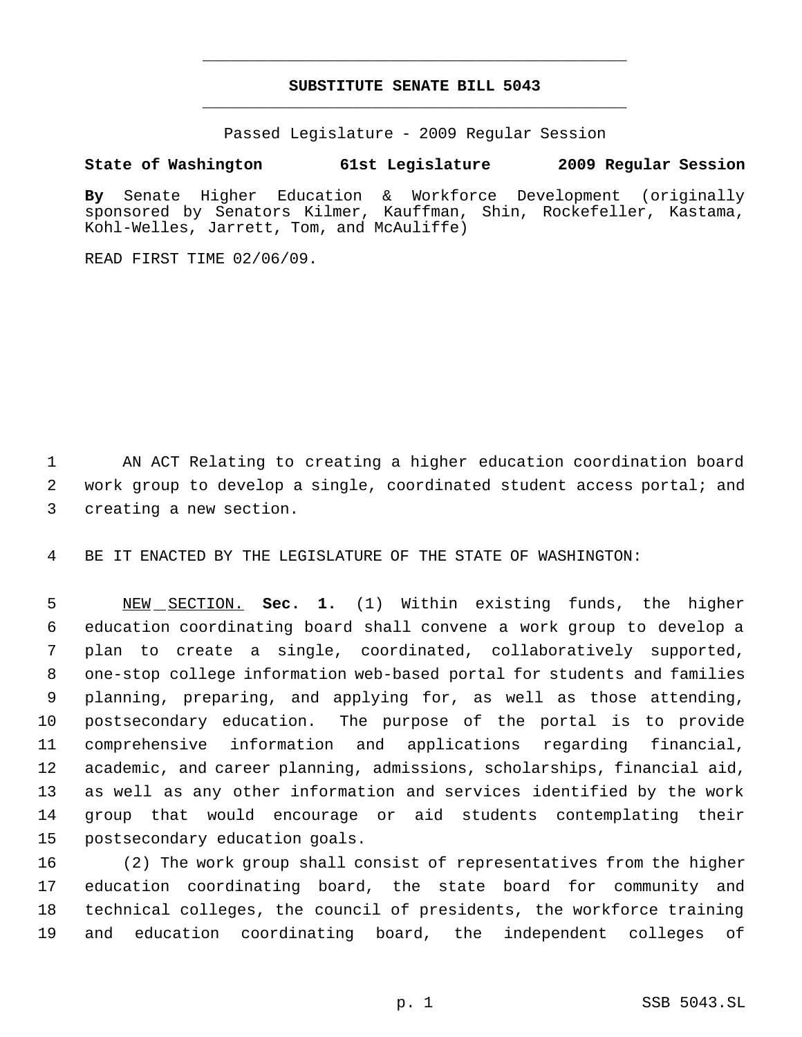## **SUBSTITUTE SENATE BILL 5043** \_\_\_\_\_\_\_\_\_\_\_\_\_\_\_\_\_\_\_\_\_\_\_\_\_\_\_\_\_\_\_\_\_\_\_\_\_\_\_\_\_\_\_\_\_

\_\_\_\_\_\_\_\_\_\_\_\_\_\_\_\_\_\_\_\_\_\_\_\_\_\_\_\_\_\_\_\_\_\_\_\_\_\_\_\_\_\_\_\_\_

Passed Legislature - 2009 Regular Session

## **State of Washington 61st Legislature 2009 Regular Session**

**By** Senate Higher Education & Workforce Development (originally sponsored by Senators Kilmer, Kauffman, Shin, Rockefeller, Kastama, Kohl-Welles, Jarrett, Tom, and McAuliffe)

READ FIRST TIME 02/06/09.

 AN ACT Relating to creating a higher education coordination board work group to develop a single, coordinated student access portal; and creating a new section.

BE IT ENACTED BY THE LEGISLATURE OF THE STATE OF WASHINGTON:

 NEW SECTION. **Sec. 1.** (1) Within existing funds, the higher education coordinating board shall convene a work group to develop a plan to create a single, coordinated, collaboratively supported, one-stop college information web-based portal for students and families planning, preparing, and applying for, as well as those attending, postsecondary education. The purpose of the portal is to provide comprehensive information and applications regarding financial, academic, and career planning, admissions, scholarships, financial aid, as well as any other information and services identified by the work group that would encourage or aid students contemplating their postsecondary education goals.

 (2) The work group shall consist of representatives from the higher education coordinating board, the state board for community and technical colleges, the council of presidents, the workforce training and education coordinating board, the independent colleges of